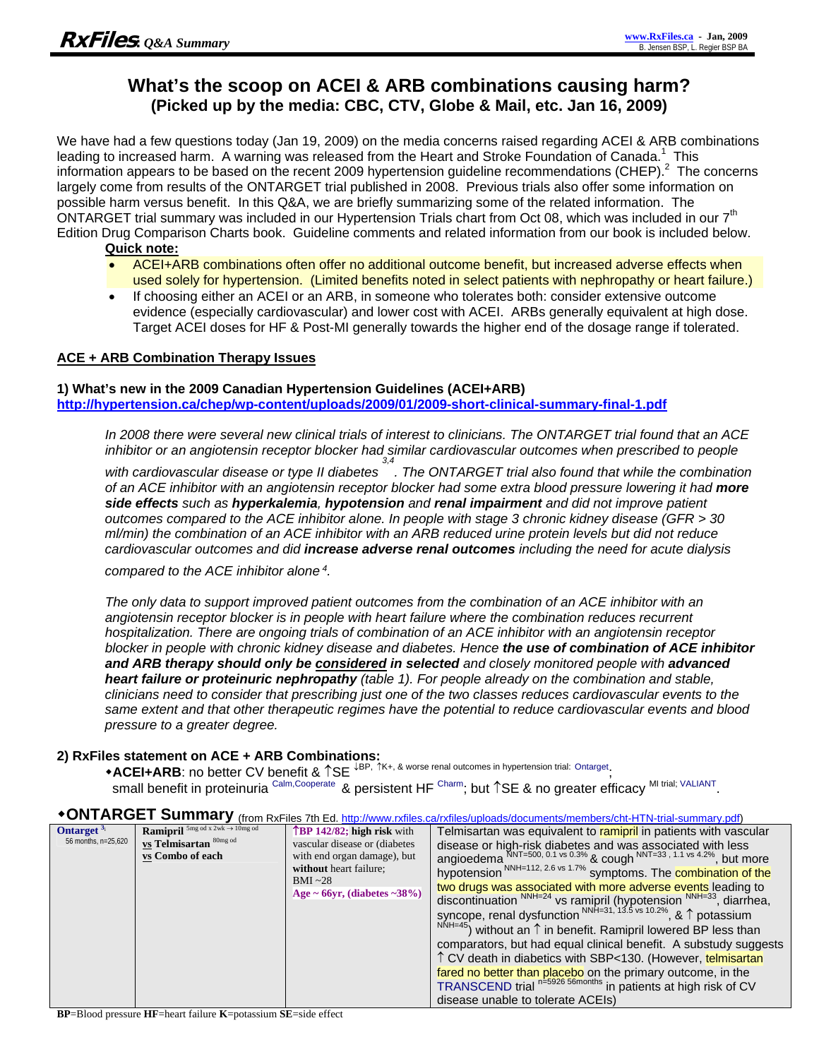## **What's the scoop on ACEI & ARB combinations causing harm? (Picked up by the media: CBC, CTV, Globe & Mail, etc. Jan 16, 2009)**

We have had a few questions today (Jan 19, 2009) on the media concerns raised regarding ACEI & ARB combinations leading to increased harm. A warning was released from the Heart and Stroke Foundation of Canada.<sup>1</sup> This information appears to be based on the recent 2009 hypertension guideline recommendations (CHEP). $^2$  The concerns largely come from results of the ONTARGET trial published in 2008. Previous trials also offer some information on possible harm versus benefit. In this Q&A, we are briefly summarizing some of the related information. The ONTARGET trial summary was included in our Hypertension Trials chart from Oct 08, which was included in our 7<sup>th</sup> Edition Drug Comparison Charts book. Guideline comments and related information from our book is included below.

### **Quick note:**

- ACEI+ARB combinations often offer no additional outcome benefit, but increased adverse effects when used solely for hypertension. (Limited benefits noted in select patients with nephropathy or heart failure.)
- If choosing either an ACEI or an ARB, in someone who tolerates both: consider extensive outcome evidence (especially cardiovascular) and lower cost with ACEI. ARBs generally equivalent at high dose. Target ACEI doses for HF & Post-MI generally towards the higher end of the dosage range if tolerated.

### **ACE + ARB Combination Therapy Issues**

### **1) What's new in the 2009 Canadian Hypertension Guidelines (ACEI+ARB)**

**http://hypertension.ca/chep/wp-content/uploads/2009/01/2009-short-clinical-summary-final-1.pdf** 

*In 2008 there were several new clinical trials of interest to clinicians. The ONTARGET trial found that an ACE inhibitor or an angiotensin receptor blocker had similar cardiovascular outcomes when prescribed to people* 

*with cardiovascular disease or type II diabetes 3,4 . The ONTARGET trial also found that while the combination of an ACE inhibitor with an angiotensin receptor blocker had some extra blood pressure lowering it had more side effects such as hyperkalemia, hypotension and renal impairment and did not improve patient outcomes compared to the ACE inhibitor alone. In people with stage 3 chronic kidney disease (GFR > 30 ml/min) the combination of an ACE inhibitor with an ARB reduced urine protein levels but did not reduce cardiovascular outcomes and did increase adverse renal outcomes including the need for acute dialysis* 

*compared to the ACE inhibitor alone 4.* 

*The only data to support improved patient outcomes from the combination of an ACE inhibitor with an angiotensin receptor blocker is in people with heart failure where the combination reduces recurrent hospitalization. There are ongoing trials of combination of an ACE inhibitor with an angiotensin receptor blocker in people with chronic kidney disease and diabetes. Hence the use of combination of ACE inhibitor*  **and ARB therapy should only be considered in selected** and closely monitored people with **advanced** *heart failure or proteinuric nephropathy (table 1). For people already on the combination and stable, clinicians need to consider that prescribing just one of the two classes reduces cardiovascular events to the same extent and that other therapeutic regimes have the potential to reduce cardiovascular events and blood pressure to a greater degree.* 

#### **2) RxFiles statement on ACE + ARB Combinations:**

**+ACEI+ARB:** no better CV benefit &  $\uparrow$ SE  $\downarrow$ BP,  $\uparrow$ K+, & worse renal outcomes in hypertension trial: Ontarget;

small benefit in proteinuria Calm,Cooperate & persistent HF Charm; but ↑SE & no greater efficacy MI trial; VALIANT.

| Ontarget <sup>5</sup><br>56 months, n=25,620 | <b>Ramipril</b> $^{5mg}$ od x 2wk $\rightarrow$ 10mg od<br>vs Telmisartan 80mg od<br>vs Combo of each | $\mathbf{\hat{B}P}$ 142/82; high risk with<br>vascular disease or (diabetes<br>with end organ damage), but<br>without heart failure;<br>$BMI \sim 28$<br>Age ~ 66yr, (diabetes ~38%) | Telmisartan was equivalent to ramipril in patients with vascular<br>disease or high-risk diabetes and was associated with less<br>angioedema NNT=500, 0.1 vs 0.3% & cough NNT=33, 1.1 vs 4.2%, but more<br>hypotension <sup>NNH=112, 2.6 vs 1.7%</sup> symptoms. The <b>combination of the</b>                                                                                                                                                                                                                                                                                                      |
|----------------------------------------------|-------------------------------------------------------------------------------------------------------|--------------------------------------------------------------------------------------------------------------------------------------------------------------------------------------|-----------------------------------------------------------------------------------------------------------------------------------------------------------------------------------------------------------------------------------------------------------------------------------------------------------------------------------------------------------------------------------------------------------------------------------------------------------------------------------------------------------------------------------------------------------------------------------------------------|
|                                              |                                                                                                       |                                                                                                                                                                                      | two drugs was associated with more adverse events leading to<br>discontinuation $NNH=24$ vs ramipril (hypotension $NNH=33$ , diarrhea,<br>syncope, renal dysfunction NNH=31, 13.5 vs 10.2%, & 1 potassium<br>$^{NNH=45}$ ) without an $\uparrow$ in benefit. Ramipril lowered BP less than<br>comparators, but had equal clinical benefit. A substudy suggests<br>1 CV death in diabetics with SBP<130. (However, telmisartan<br>fared no better than placebo on the primary outcome, in the<br>TRANSCEND trial n=5926 56months in patients at high risk of CV<br>disease unable to tolerate ACEIs) |

# **ONTARGET Summary** (from RxFiles 7th Ed. http://www.rxfiles.ca/rxfiles/uploads/documents/members/cht-HTN-trial-summary.pdf)

**BP**=Blood pressure **HF**=heart failure **K**=potassium **SE**=side effect